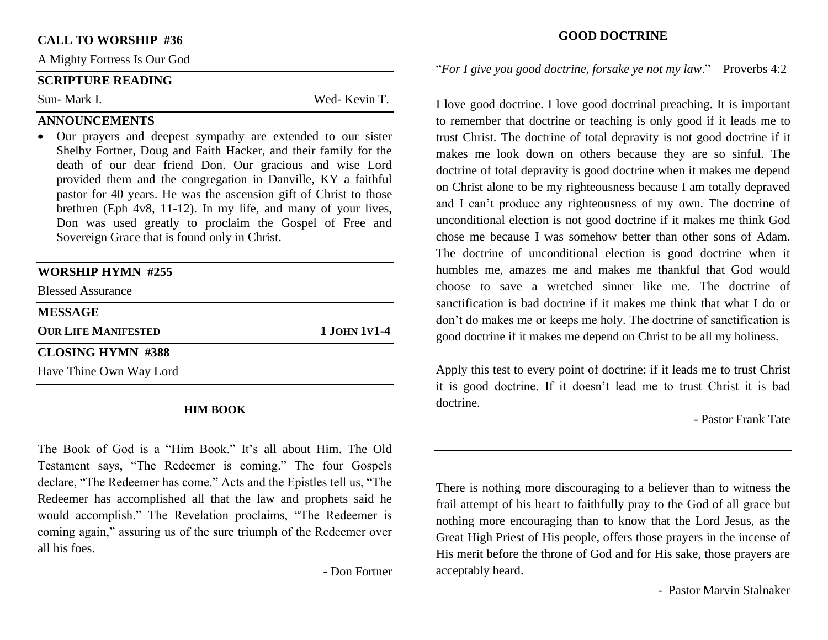#### **CALL TO WORSHIP #36**

A Mighty Fortress Is Our God

#### **SCRIPTURE READING**

Sun- Mark I. Wed- Kevin T.

# **ANNOUNCEMENTS**

• Our prayers and deepest sympathy are extended to our sister Shelby Fortner, Doug and Faith Hacker, and their family for the death of our dear friend Don. Our gracious and wise Lord provided them and the congregation in Danville, KY a faithful pastor for 40 years. He was the ascension gift of Christ to those brethren (Eph 4v8, 11-12). In my life, and many of your lives, Don was used greatly to proclaim the Gospel of Free and Sovereign Grace that is found only in Christ.

| <b>WORSHIP HYMN #255</b>   |               |  |
|----------------------------|---------------|--|
| <b>Blessed Assurance</b>   |               |  |
| <b>MESSAGE</b>             |               |  |
| <b>OUR LIFE MANIFESTED</b> | 1 JOHN 1 V1-4 |  |
| <b>CLOSING HYMN #388</b>   |               |  |
|                            |               |  |

#### **HIM BOOK**

The Book of God is a "Him Book." It's all about Him. The Old Testament says, "The Redeemer is coming." The four Gospels declare, "The Redeemer has come." Acts and the Epistles tell us, "The Redeemer has accomplished all that the law and prophets said he would accomplish." The Revelation proclaims, "The Redeemer is coming again," assuring us of the sure triumph of the Redeemer over all his foes.

- Don Fortner

#### **GOOD DOCTRINE**

"*For I give you good doctrine, forsake ye not my law*." – Proverbs 4:2

I love good doctrine. I love good doctrinal preaching. It is important to remember that doctrine or teaching is only good if it leads me to trust Christ. The doctrine of total depravity is not good doctrine if it makes me look down on others because they are so sinful. The doctrine of total depravity is good doctrine when it makes me depend on Christ alone to be my righteousness because I am totally depraved and I can't produce any righteousness of my own. The doctrine of unconditional election is not good doctrine if it makes me think God chose me because I was somehow better than other sons of Adam. The doctrine of unconditional election is good doctrine when it humbles me, amazes me and makes me thankful that God would choose to save a wretched sinner like me. The doctrine of sanctification is bad doctrine if it makes me think that what I do or don't do makes me or keeps me holy. The doctrine of sanctification is good doctrine if it makes me depend on Christ to be all my holiness.

Apply this test to every point of doctrine: if it leads me to trust Christ it is good doctrine. If it doesn't lead me to trust Christ it is bad doctrine.

- Pastor Frank Tate

There is nothing more discouraging to a believer than to witness the frail attempt of his heart to faithfully pray to the God of all grace but nothing more encouraging than to know that the Lord Jesus, as the Great High Priest of His people, offers those prayers in the incense of His merit before the throne of God and for His sake, those prayers are acceptably heard.

- Pastor Marvin Stalnaker